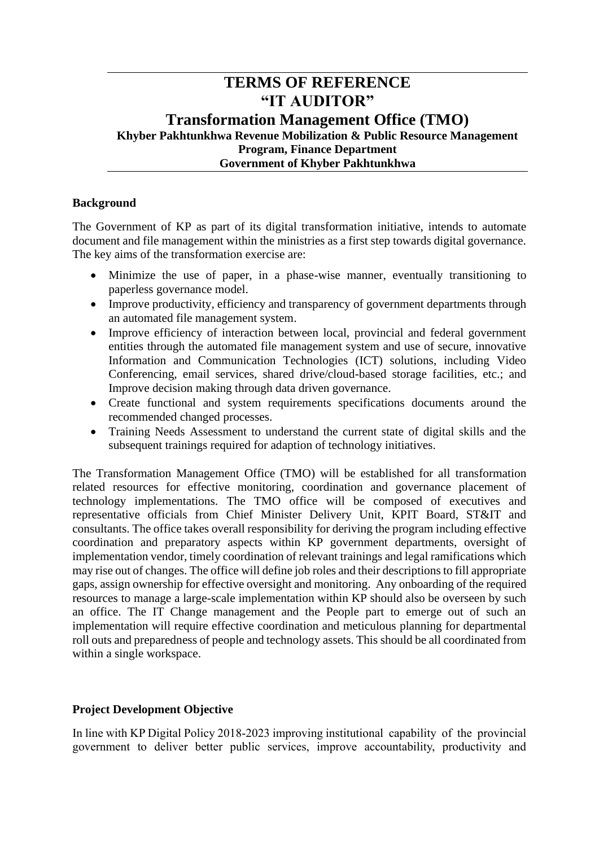# **TERMS OF REFERENCE "IT AUDITOR" Transformation Management Office (TMO) Khyber Pakhtunkhwa Revenue Mobilization & Public Resource Management Program, Finance Department Government of Khyber Pakhtunkhwa**

## **Background**

The Government of KP as part of its digital transformation initiative, intends to automate document and file management within the ministries as a first step towards digital governance. The key aims of the transformation exercise are:

- Minimize the use of paper, in a phase-wise manner, eventually transitioning to paperless governance model.
- Improve productivity, efficiency and transparency of government departments through an automated file management system.
- Improve efficiency of interaction between local, provincial and federal government entities through the automated file management system and use of secure, innovative Information and Communication Technologies (ICT) solutions, including Video Conferencing, email services, shared drive/cloud-based storage facilities, etc.; and Improve decision making through data driven governance.
- Create functional and system requirements specifications documents around the recommended changed processes.
- Training Needs Assessment to understand the current state of digital skills and the subsequent trainings required for adaption of technology initiatives.

The Transformation Management Office (TMO) will be established for all transformation related resources for effective monitoring, coordination and governance placement of technology implementations. The TMO office will be composed of executives and representative officials from Chief Minister Delivery Unit, KPIT Board, ST&IT and consultants. The office takes overall responsibility for deriving the program including effective coordination and preparatory aspects within KP government departments, oversight of implementation vendor, timely coordination of relevant trainings and legal ramifications which may rise out of changes. The office will define job roles and their descriptions to fill appropriate gaps, assign ownership for effective oversight and monitoring. Any onboarding of the required resources to manage a large-scale implementation within KP should also be overseen by such an office. The IT Change management and the People part to emerge out of such an implementation will require effective coordination and meticulous planning for departmental roll outs and preparedness of people and technology assets. This should be all coordinated from within a single workspace.

## **Project Development Objective**

In line with KP Digital Policy 2018-2023 improving institutional capability of the provincial government to deliver better public services, improve accountability, productivity and